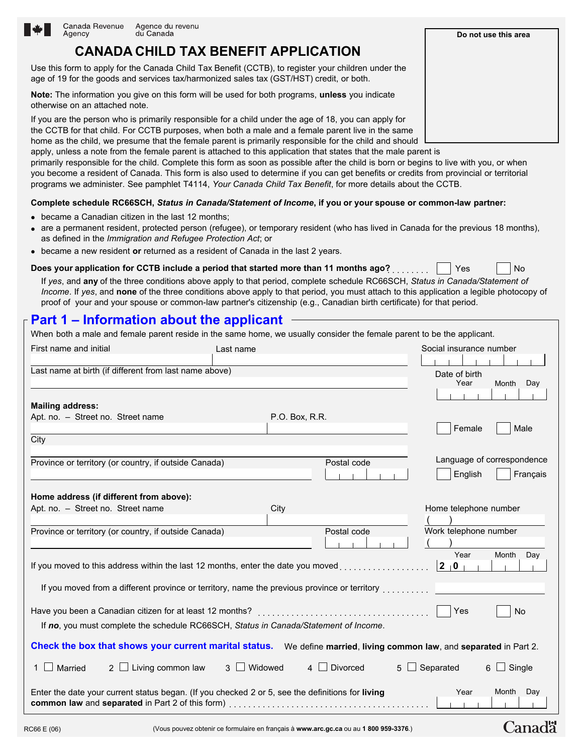

home as the child, we presume that the female parent is primarily responsible for the child and should apply, unless a note from the female parent is attached to this application that states that the male parent is primarily responsible for the child. Complete this form as soon as possible after the child is born or begins to live with you, or when you become a resident of Canada. This form is also used to determine if you can get benefits or credits from provincial or territorial programs we administer. See pamphlet T4114, *Your Canada Child Tax Benefit*, for more details about the CCTB.

### **Complete schedule RC66SCH,** *Status in Canada/Statement of Income***, if you or your spouse or common-law partner:**

- became a Canadian citizen in the last 12 months;
- are a permanent resident, protected person (refugee), or temporary resident (who has lived in Canada for the previous 18 months), as defined in the *Immigration and Refugee Protection Act*; or
- became a new resident or returned as a resident of Canada in the last 2 years.

#### **Does your application for CCTB include a period that started more than 11 months ago?**. . . . . . . . . Yes No

If *yes*, and **any** of the three conditions above apply to that period, complete schedule RC66SCH, *Status in Canada/Statement of Income*. If *yes*, and **none** of the three conditions above apply to that period, you must attach to this application a legible photocopy of proof of your and your spouse or common-law partner's citizenship (e.g., Canadian birth certificate) for that period.

## **Part 1 – Information about the applicant**

When both a male and female parent reside in the same home, we usually consider the female parent to be the applicant.

| First name and initial                                                                           |                                                                                      | Last name      |                                                                                              | Social insurance number                                                                                              |
|--------------------------------------------------------------------------------------------------|--------------------------------------------------------------------------------------|----------------|----------------------------------------------------------------------------------------------|----------------------------------------------------------------------------------------------------------------------|
|                                                                                                  |                                                                                      |                |                                                                                              |                                                                                                                      |
| Last name at birth (if different from last name above)                                           |                                                                                      |                |                                                                                              | Date of birth                                                                                                        |
|                                                                                                  |                                                                                      |                |                                                                                              | Year<br>Month<br>Day                                                                                                 |
|                                                                                                  |                                                                                      |                |                                                                                              |                                                                                                                      |
| <b>Mailing address:</b>                                                                          |                                                                                      |                |                                                                                              |                                                                                                                      |
| Apt. no. - Street no. Street name                                                                |                                                                                      | P.O. Box, R.R. |                                                                                              |                                                                                                                      |
| City                                                                                             |                                                                                      |                |                                                                                              | Female<br>Male                                                                                                       |
|                                                                                                  |                                                                                      |                |                                                                                              |                                                                                                                      |
| Province or territory (or country, if outside Canada)                                            |                                                                                      |                | Postal code                                                                                  | Language of correspondence                                                                                           |
|                                                                                                  |                                                                                      |                |                                                                                              | English<br>Français                                                                                                  |
|                                                                                                  |                                                                                      |                |                                                                                              |                                                                                                                      |
| Home address (if different from above):                                                          |                                                                                      |                |                                                                                              |                                                                                                                      |
| Apt. no. - Street no. Street name                                                                |                                                                                      | City           |                                                                                              | Home telephone number                                                                                                |
|                                                                                                  |                                                                                      |                |                                                                                              |                                                                                                                      |
| Province or territory (or country, if outside Canada)                                            |                                                                                      |                | Postal code                                                                                  | Work telephone number                                                                                                |
|                                                                                                  |                                                                                      |                |                                                                                              |                                                                                                                      |
|                                                                                                  |                                                                                      |                |                                                                                              | Year<br>Month Day                                                                                                    |
|                                                                                                  |                                                                                      |                | If you moved to this address within the last 12 months, enter the date you moved             | $\vert 2 \vert 0 \vert$                                                                                              |
|                                                                                                  |                                                                                      |                |                                                                                              |                                                                                                                      |
|                                                                                                  |                                                                                      |                | If you moved from a different province or territory, name the previous province or territory |                                                                                                                      |
|                                                                                                  |                                                                                      |                |                                                                                              | Yes<br><b>No</b>                                                                                                     |
|                                                                                                  |                                                                                      |                |                                                                                              |                                                                                                                      |
|                                                                                                  | If no, you must complete the schedule RC66SCH, Status in Canada/Statement of Income. |                |                                                                                              |                                                                                                                      |
|                                                                                                  |                                                                                      |                |                                                                                              | Check the box that shows your current marital status. We define married, living common law, and separated in Part 2. |
| $1 \Box$ Married                                                                                 | $2 \Box$ Living common law                                                           | 3 Widowed      | 4 Divorced<br>5 <sub>1</sub>                                                                 | Separated<br>$\Box$ Single<br>6<br>$\blacksquare$                                                                    |
|                                                                                                  |                                                                                      |                |                                                                                              |                                                                                                                      |
| Enter the date your current status began. (If you checked 2 or 5, see the definitions for living |                                                                                      |                |                                                                                              | Month<br>Day<br>Year                                                                                                 |
|                                                                                                  |                                                                                      |                |                                                                                              |                                                                                                                      |
|                                                                                                  |                                                                                      |                |                                                                                              |                                                                                                                      |
| RC66 E (06)                                                                                      |                                                                                      |                | (Vous pouvez obtenir ce formulaire en français à www.arc.gc.ca ou au 1 800 959-3376.)        | Canadä                                                                                                               |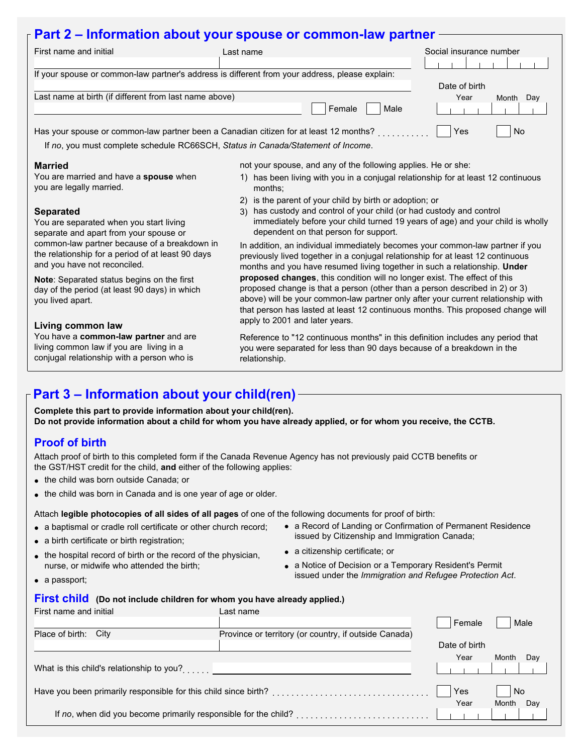## **Part 2 – Information about your spouse or common-law partner**

| First name and initial                                                                                                            | Last name                                                                                                                                                                                                                                                                                                                       | Social insurance number |
|-----------------------------------------------------------------------------------------------------------------------------------|---------------------------------------------------------------------------------------------------------------------------------------------------------------------------------------------------------------------------------------------------------------------------------------------------------------------------------|-------------------------|
|                                                                                                                                   |                                                                                                                                                                                                                                                                                                                                 |                         |
| If your spouse or common-law partner's address is different from your address, please explain:                                    |                                                                                                                                                                                                                                                                                                                                 |                         |
|                                                                                                                                   |                                                                                                                                                                                                                                                                                                                                 | Date of birth           |
| Last name at birth (if different from last name above)                                                                            |                                                                                                                                                                                                                                                                                                                                 | Year<br>Day<br>Month    |
|                                                                                                                                   | Female<br>Male                                                                                                                                                                                                                                                                                                                  |                         |
| Has your spouse or common-law partner been a Canadian citizen for at least 12 months? [1, 1, 1, 1, 1, 1, 1, 1,                    |                                                                                                                                                                                                                                                                                                                                 | Yes<br>No               |
| If no, you must complete schedule RC66SCH, Status in Canada/Statement of Income.                                                  |                                                                                                                                                                                                                                                                                                                                 |                         |
|                                                                                                                                   |                                                                                                                                                                                                                                                                                                                                 |                         |
| <b>Married</b>                                                                                                                    | not your spouse, and any of the following applies. He or she:                                                                                                                                                                                                                                                                   |                         |
| You are married and have a spouse when<br>you are legally married.                                                                | has been living with you in a conjugal relationship for at least 12 continuous<br>1)<br>months:                                                                                                                                                                                                                                 |                         |
|                                                                                                                                   | is the parent of your child by birth or adoption; or<br>2)                                                                                                                                                                                                                                                                      |                         |
| <b>Separated</b><br>You are separated when you start living<br>separate and apart from your spouse or                             | has custody and control of your child (or had custody and control<br>3)<br>immediately before your child turned 19 years of age) and your child is wholly<br>dependent on that person for support.                                                                                                                              |                         |
| common-law partner because of a breakdown in<br>the relationship for a period of at least 90 days<br>and you have not reconciled. | In addition, an individual immediately becomes your common-law partner if you<br>previously lived together in a conjugal relationship for at least 12 continuous<br>months and you have resumed living together in such a relationship. Under                                                                                   |                         |
| Note: Separated status begins on the first<br>day of the period (at least 90 days) in which<br>you lived apart.                   | proposed changes, this condition will no longer exist. The effect of this<br>proposed change is that a person (other than a person described in 2) or 3)<br>above) will be your common-law partner only after your current relationship with<br>that person has lasted at least 12 continuous months. This proposed change will |                         |
|                                                                                                                                   | apply to 2001 and later years.                                                                                                                                                                                                                                                                                                  |                         |

Reference to "12 continuous months" in this definition includes any period that you were separated for less than 90 days because of a breakdown in the relationship.

## **Part 3 – Information about your child(ren)**

**Complete this part to provide information about your child(ren). Do not provide information about a child for whom you have already applied, or for whom you receive, the CCTB.** 

### **Proof of birth**

**Living common law**

Attach proof of birth to this completed form if the Canada Revenue Agency has not previously paid CCTB benefits or the GST/HST credit for the child, **and** either of the following applies:

• the child was born outside Canada; or

You have a **common-law partner** and are living common law if you are living in a conjugal relationship with a person who is

• the child was born in Canada and is one year of age or older.

Attach **legible photocopies of all sides of all pages** of one of the following documents for proof of birth:

- a baptismal or cradle roll certificate or other church record;
- a birth certificate or birth registration;
- the hospital record of birth or the record of the physician, nurse, or midwife who attended the birth;
- a Record of Landing or Confirmation of Permanent Residence issued by Citizenship and Immigration Canada;
- a citizenship certificate; or
- a Notice of Decision or a Temporary Resident's Permit issued under the *Immigration and Refugee Protection Act*.

• a passport;

### First child (Do not include children for whom you have already applied.)

| First name and initial                                          | Last name                                             |               |              |
|-----------------------------------------------------------------|-------------------------------------------------------|---------------|--------------|
|                                                                 |                                                       | Female        | Male         |
| Place of birth:<br>City                                         | Province or territory (or country, if outside Canada) |               |              |
|                                                                 |                                                       | Date of birth |              |
|                                                                 |                                                       | Year          | Month<br>Day |
| What is this child's relationship to you?                       |                                                       |               |              |
| Have you been primarily responsible for this child since birth? |                                                       | Yes           | No           |
|                                                                 |                                                       | Year          | Month<br>Day |
| If no, when did you become primarily responsible for the child? |                                                       |               |              |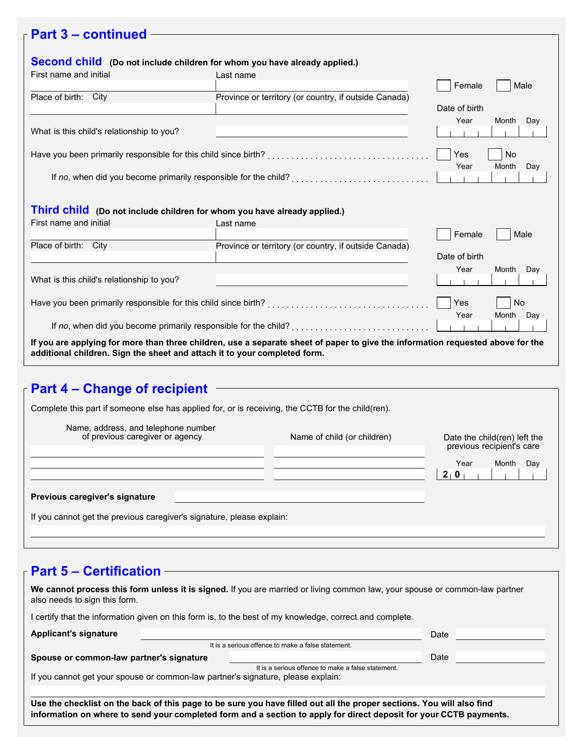# **Part 3 – continued**

| Second child (Do not include children for whom you have already applied.)                                                                                                                                    |                                                                 |               |              |  |
|--------------------------------------------------------------------------------------------------------------------------------------------------------------------------------------------------------------|-----------------------------------------------------------------|---------------|--------------|--|
| First name and initial                                                                                                                                                                                       | Last name                                                       |               |              |  |
|                                                                                                                                                                                                              |                                                                 | Female        | Male         |  |
| Place of birth: City                                                                                                                                                                                         | Province or territory (or country, if outside Canada)           |               |              |  |
|                                                                                                                                                                                                              |                                                                 | Date of birth |              |  |
|                                                                                                                                                                                                              |                                                                 | Year          | Month<br>Day |  |
| What is this child's relationship to you?                                                                                                                                                                    |                                                                 |               |              |  |
|                                                                                                                                                                                                              |                                                                 |               |              |  |
|                                                                                                                                                                                                              |                                                                 | Yes           | No           |  |
|                                                                                                                                                                                                              |                                                                 | Year          | Month<br>Day |  |
|                                                                                                                                                                                                              |                                                                 |               |              |  |
|                                                                                                                                                                                                              |                                                                 |               |              |  |
|                                                                                                                                                                                                              |                                                                 |               |              |  |
| Third child (Do not include children for whom you have already applied.)                                                                                                                                     |                                                                 |               |              |  |
| First name and initial                                                                                                                                                                                       | Last name                                                       |               |              |  |
|                                                                                                                                                                                                              |                                                                 | Female        | Male         |  |
| Place of birth: City                                                                                                                                                                                         | Province or territory (or country, if outside Canada)           |               |              |  |
|                                                                                                                                                                                                              |                                                                 | Date of birth |              |  |
|                                                                                                                                                                                                              |                                                                 | Year          | Month<br>Day |  |
| What is this child's relationship to you?                                                                                                                                                                    |                                                                 |               |              |  |
|                                                                                                                                                                                                              |                                                                 |               |              |  |
|                                                                                                                                                                                                              |                                                                 |               | <b>No</b>    |  |
|                                                                                                                                                                                                              |                                                                 | Year          | Month Day    |  |
|                                                                                                                                                                                                              | If no, when did you become primarily responsible for the child? |               |              |  |
|                                                                                                                                                                                                              |                                                                 |               |              |  |
| If you are applying for more than three children, use a separate sheet of paper to give the information requested above for the<br>additional children. Sign the sheet and attach it to your completed form. |                                                                 |               |              |  |

# **Part 4 – Change of recipient**

| Complete this part if someone else has applied for, or is receiving, the CCTB for the child(ren). |                             |                                                            |  |
|---------------------------------------------------------------------------------------------------|-----------------------------|------------------------------------------------------------|--|
| Name, address, and telephone number<br>of previous caregiver or agency                            | Name of child (or children) | Date the child (ren) left the<br>previous recipient's care |  |
|                                                                                                   |                             | Year<br>Month<br>Day<br>$2 \cdot 0$                        |  |
| Previous caregiver's signature                                                                    |                             |                                                            |  |
| If you cannot get the previous caregiver's signature, please explain:                             |                             |                                                            |  |
|                                                                                                   |                             |                                                            |  |

## **Part 5 – Certification**

| We cannot process this form unless it is signed. If you are married or living common law, your spouse or common-law partner<br>also needs to sign this form.                                                                                |  |                                                    |      |  |  |
|---------------------------------------------------------------------------------------------------------------------------------------------------------------------------------------------------------------------------------------------|--|----------------------------------------------------|------|--|--|
| I certify that the information given on this form is, to the best of my knowledge, correct and complete.                                                                                                                                    |  |                                                    |      |  |  |
| <b>Applicant's signature</b>                                                                                                                                                                                                                |  | It is a serious offence to make a false statement. | Date |  |  |
|                                                                                                                                                                                                                                             |  |                                                    |      |  |  |
| Spouse or common-law partner's signature<br>Date                                                                                                                                                                                            |  |                                                    |      |  |  |
|                                                                                                                                                                                                                                             |  | It is a serious offence to make a false statement. |      |  |  |
| If you cannot get your spouse or common-law partner's signature, please explain:                                                                                                                                                            |  |                                                    |      |  |  |
|                                                                                                                                                                                                                                             |  |                                                    |      |  |  |
| Use the checklist on the back of this page to be sure you have filled out all the proper sections. You will also find<br>information on where to send your completed form and a section to apply for direct deposit for your CCTB payments. |  |                                                    |      |  |  |